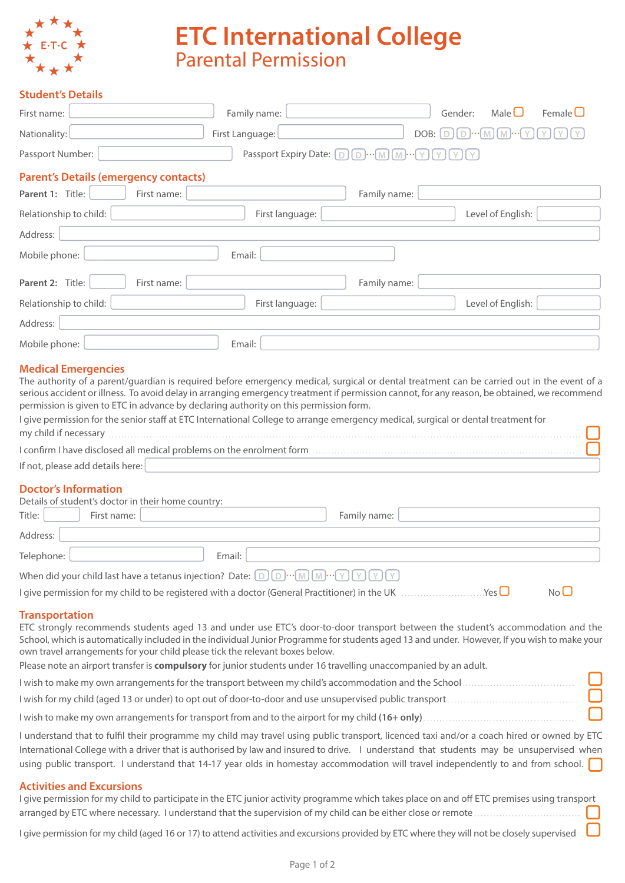

# **ETC International College Parental Permission**

## **Student's Details**

| First name:                                                                                                | Family name:                                                                                                                                                                                                                                                                                                                                                                                                                                                                                                              |                                 | Male $\Box$<br>Gender: | Female $\square$ |
|------------------------------------------------------------------------------------------------------------|---------------------------------------------------------------------------------------------------------------------------------------------------------------------------------------------------------------------------------------------------------------------------------------------------------------------------------------------------------------------------------------------------------------------------------------------------------------------------------------------------------------------------|---------------------------------|------------------------|------------------|
| Nationality:                                                                                               | First Language:                                                                                                                                                                                                                                                                                                                                                                                                                                                                                                           | DOB:                            | D<br>D<br>M<br>M       |                  |
| Passport Number:                                                                                           | Passport Expiry Date: [                                                                                                                                                                                                                                                                                                                                                                                                                                                                                                   | D<br>$D$ $\cdot \cdot$ M<br>I M |                        |                  |
| <b>Parent's Details (emergency contacts)</b>                                                               |                                                                                                                                                                                                                                                                                                                                                                                                                                                                                                                           |                                 |                        |                  |
| Parent 1: Title:<br>First name:                                                                            |                                                                                                                                                                                                                                                                                                                                                                                                                                                                                                                           | Family name:                    |                        |                  |
| Relationship to child:                                                                                     | First language:                                                                                                                                                                                                                                                                                                                                                                                                                                                                                                           |                                 | Level of English:      |                  |
| Address:                                                                                                   |                                                                                                                                                                                                                                                                                                                                                                                                                                                                                                                           |                                 |                        |                  |
| Mobile phone:                                                                                              | Email:                                                                                                                                                                                                                                                                                                                                                                                                                                                                                                                    |                                 |                        |                  |
| Parent 2: Title:<br>First name:                                                                            |                                                                                                                                                                                                                                                                                                                                                                                                                                                                                                                           | Family name:                    |                        |                  |
| Relationship to child:                                                                                     | First language:                                                                                                                                                                                                                                                                                                                                                                                                                                                                                                           |                                 | Level of English:      |                  |
| Address:                                                                                                   |                                                                                                                                                                                                                                                                                                                                                                                                                                                                                                                           |                                 |                        |                  |
| Mobile phone:                                                                                              | Email:                                                                                                                                                                                                                                                                                                                                                                                                                                                                                                                    |                                 |                        |                  |
| my child if necessary                                                                                      | The authority of a parent/quardian is required before emergency medical, surgical or dental treatment can be carried out in the event of a<br>serious accident or illness. To avoid delay in arranging emergency treatment if permission cannot, for any reason, be obtained, we recommend<br>permission is given to ETC in advance by declaring authority on this permission form.<br>I give permission for the senior staff at ETC International College to arrange emergency medical, surgical or dental treatment for |                                 |                        |                  |
|                                                                                                            |                                                                                                                                                                                                                                                                                                                                                                                                                                                                                                                           |                                 |                        |                  |
| If not, please add details here:                                                                           |                                                                                                                                                                                                                                                                                                                                                                                                                                                                                                                           |                                 |                        |                  |
| <b>Doctor's Information</b><br>Details of student's doctor in their home country:<br>First name:<br>Title: |                                                                                                                                                                                                                                                                                                                                                                                                                                                                                                                           | Family name:                    |                        |                  |
| Address:                                                                                                   |                                                                                                                                                                                                                                                                                                                                                                                                                                                                                                                           |                                 |                        |                  |
| Telephone:                                                                                                 | Email:                                                                                                                                                                                                                                                                                                                                                                                                                                                                                                                    |                                 |                        |                  |
|                                                                                                            |                                                                                                                                                                                                                                                                                                                                                                                                                                                                                                                           |                                 |                        |                  |
|                                                                                                            | I give permission for my child to be registered with a doctor (General Practitioner) in the UK $\ldots$ Yes                                                                                                                                                                                                                                                                                                                                                                                                               |                                 |                        | $No$ $\Box$      |
| <b>Transportation</b>                                                                                      | ETC strongly recommends students aged 13 and under use ETC's door-to-door transport between the student's accommodation and the<br>School, which is automatically included in the individual Junior Programme for students aged 13 and under. However, If you wish to make your<br>own travel arrangements for your child please tick the relevant boxes below.<br>Please note an airport transfer is compulsory for junior students under 16 travelling unaccompanied by an adult.                                       |                                 |                        |                  |
|                                                                                                            |                                                                                                                                                                                                                                                                                                                                                                                                                                                                                                                           |                                 |                        |                  |
|                                                                                                            |                                                                                                                                                                                                                                                                                                                                                                                                                                                                                                                           |                                 |                        |                  |
|                                                                                                            |                                                                                                                                                                                                                                                                                                                                                                                                                                                                                                                           |                                 |                        |                  |
|                                                                                                            | I understand that to fulfil their programme my child may travel using public transport, licenced taxi and/or a coach hired or owned by ETC<br>International College with a driver that is authorised by law and insured to drive. I understand that students may be unsupervised when<br>using public transport. I understand that 14-17 year olds in homestay accommodation will travel independently to and from school.                                                                                                |                                 |                        |                  |
| <b>Activities and Excursions</b>                                                                           | I give permission for my child to participate in the ETC junior activity programme which takes place on and off ETC premises using transport<br>arranged by ETC where necessary. I understand that the supervision of my child can be either close or remote                                                                                                                                                                                                                                                              |                                 |                        |                  |
|                                                                                                            | I give permission for my child (aged 16 or 17) to attend activities and excursions provided by ETC where they will not be closely supervised                                                                                                                                                                                                                                                                                                                                                                              |                                 |                        |                  |